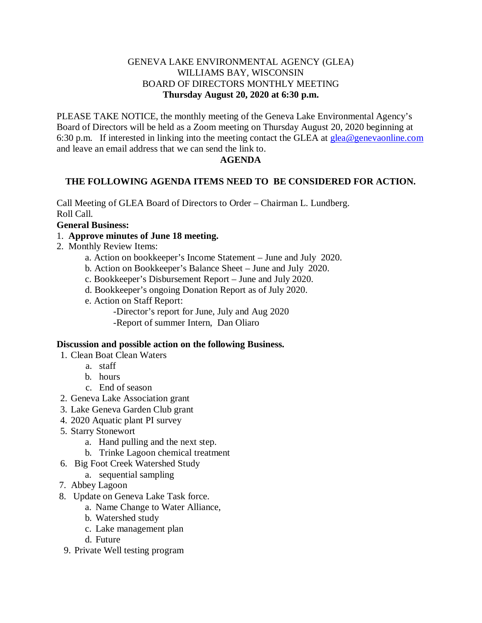# GENEVA LAKE ENVIRONMENTAL AGENCY (GLEA) WILLIAMS BAY, WISCONSIN BOARD OF DIRECTORS MONTHLY MEETING **Thursday August 20, 2020 at 6:30 p.m.**

PLEASE TAKE NOTICE, the monthly meeting of the Geneva Lake Environmental Agency's Board of Directors will be held as a Zoom meeting on Thursday August 20, 2020 beginning at 6:30 p.m. If interested in linking into the meeting contact the GLEA at  $g_{\text{lea}}@genevaonline.com$ and leave an email address that we can send the link to.

# **AGENDA**

# **THE FOLLOWING AGENDA ITEMS NEED TO BE CONSIDERED FOR ACTION.**

Call Meeting of GLEA Board of Directors to Order – Chairman L. Lundberg. Roll Call.

### **General Business:**

### 1. **Approve minutes of June 18 meeting.**

- 2. Monthly Review Items:
	- a. Action on bookkeeper's Income Statement June and July 2020.
	- b. Action on Bookkeeper's Balance Sheet June and July 2020.
	- c. Bookkeeper's Disbursement Report June and July 2020.
	- d. Bookkeeper's ongoing Donation Report as of July 2020.
	- e. Action on Staff Report:
		- -Director's report for June, July and Aug 2020
		- -Report of summer Intern, Dan Oliaro

#### **Discussion and possible action on the following Business.**

- 1. Clean Boat Clean Waters
	- a. staff
	- b. hours
	- c. End of season
- 2. Geneva Lake Association grant
- 3. Lake Geneva Garden Club grant
- 4. 2020 Aquatic plant PI survey
- 5. Starry Stonewort
	- a. Hand pulling and the next step.
	- b. Trinke Lagoon chemical treatment
- 6. Big Foot Creek Watershed Study
	- a. sequential sampling
- 7. Abbey Lagoon
- 8. Update on Geneva Lake Task force.
	- a. Name Change to Water Alliance,
	- b. Watershed study
	- c. Lake management plan
	- d. Future
- 9. Private Well testing program